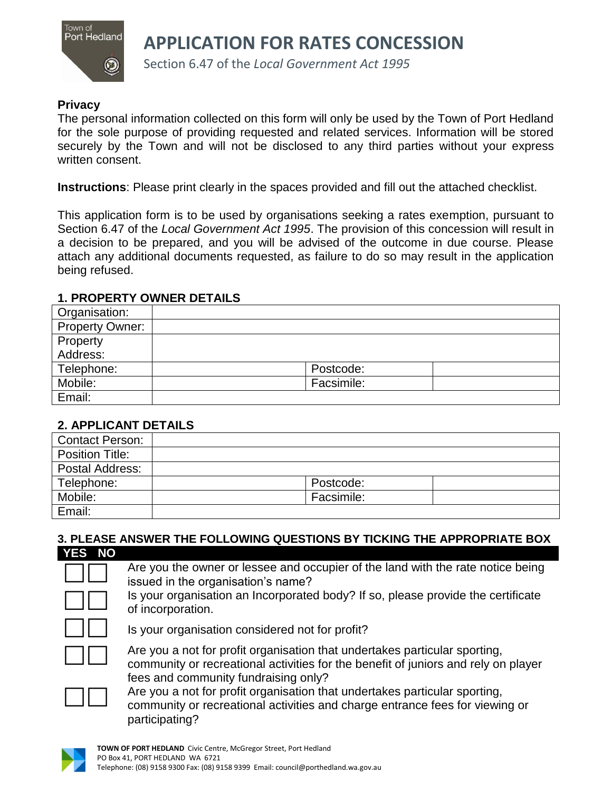

**APPLICATION FOR RATES CONCESSION**

Section 6.47 of the *Local Government Act 1995*

### **Privacy**

The personal information collected on this form will only be used by the Town of Port Hedland for the sole purpose of providing requested and related services. Information will be stored securely by the Town and will not be disclosed to any third parties without your express written consent.

**Instructions**: Please print clearly in the spaces provided and fill out the attached checklist.

This application form is to be used by organisations seeking a rates exemption, pursuant to Section 6.47 of the *Local Government Act 1995*. The provision of this concession will result in a decision to be prepared, and you will be advised of the outcome in due course. Please attach any additional documents requested, as failure to do so may result in the application being refused.

### **1. PROPERTY OWNER DETAILS**

| Organisation:          |            |
|------------------------|------------|
| <b>Property Owner:</b> |            |
| Property               |            |
| Address:               |            |
| Telephone:             | Postcode:  |
| Mobile:                | Facsimile: |
| Email:                 |            |

## **2. APPLICANT DETAILS**

| <b>Contact Person:</b> |            |
|------------------------|------------|
| <b>Position Title:</b> |            |
| Postal Address:        |            |
| Telephone:             | Postcode:  |
| Mobile:                | Facsimile: |
| Email:                 |            |

#### **3. PLEASE ANSWER THE FOLLOWING QUESTIONS BY TICKING THE APPROPRIATE BOX**

| <b>YES</b><br><b>NO</b> |                                                                                                                                                                                                          |
|-------------------------|----------------------------------------------------------------------------------------------------------------------------------------------------------------------------------------------------------|
|                         | Are you the owner or lessee and occupier of the land with the rate notice being<br>issued in the organisation's name?                                                                                    |
|                         | Is your organisation an Incorporated body? If so, please provide the certificate<br>of incorporation.                                                                                                    |
|                         | Is your organisation considered not for profit?                                                                                                                                                          |
|                         | Are you a not for profit organisation that undertakes particular sporting,<br>community or recreational activities for the benefit of juniors and rely on player<br>fees and community fundraising only? |
|                         | Are you a not for profit organisation that undertakes particular sporting,<br>community or recreational activities and charge entrance fees for viewing or<br>participating?                             |